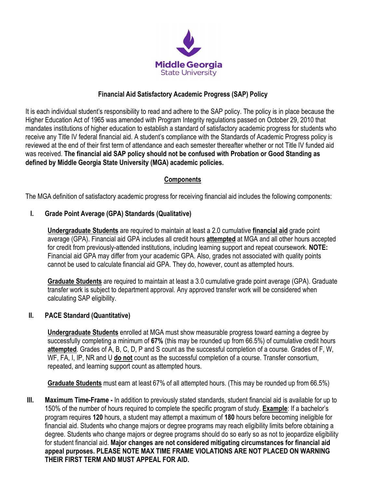

### **Financial Aid Satisfactory Academic Progress (SAP) Policy**

It is each individual student's responsibility to read and adhere to the SAP policy. The policy is in place because the Higher Education Act of 1965 was amended with Program Integrity regulations passed on October 29, 2010 that mandates institutions of higher education to establish a standard of satisfactory academic progress for students who receive any Title IV federal financial aid. A student's compliance with the Standards of Academic Progress policy is reviewed at the end of their first term of attendance and each semester thereafter whether or not Title IV funded aid was received. **The financial aid SAP policy should not be confused with Probation or Good Standing as defined by Middle Georgia State University (MGA) academic policies.**

#### **Components**

The MGA definition of satisfactory academic progress for receiving financial aid includes the following components:

#### **I. Grade Point Average (GPA) Standards (Qualitative)**

**Undergraduate Students** are required to maintain at least a 2.0 cumulative **financial aid** grade point average (GPA). Financial aid GPA includes all credit hours **attempted** at MGA and all other hours accepted for credit from previously-attended institutions, including learning support and repeat coursework. **NOTE:** Financial aid GPA may differ from your academic GPA. Also, grades not associated with quality points cannot be used to calculate financial aid GPA. They do, however, count as attempted hours.

**Graduate Students** are required to maintain at least a 3.0 cumulative grade point average (GPA). Graduate transfer work is subject to department approval. Any approved transfer work will be considered when calculating SAP eligibility.

#### **II. PACE Standard (Quantitative)**

**Undergraduate Students** enrolled at MGA must show measurable progress toward earning a degree by successfully completing a minimum of **67%** (this may be rounded up from 66.5%) of cumulative credit hours **attempted**. Grades of A, B, C, D, P and S count as the successful completion of a course. Grades of F, W, WF, FA, I, IP, NR and U **do not** count as the successful completion of a course. Transfer consortium, repeated, and learning support count as attempted hours.

**Graduate Students** must earn at least 67% of all attempted hours. (This may be rounded up from 66.5%)

**III. Maximum Time-Frame -** In addition to previously stated standards, student financial aid is available for up to 150% of the number of hours required to complete the specific program of study. **Example**: If a bachelor's program requires **120** hours, a student may attempt a maximum of **180** hours before becoming ineligible for financial aid. Students who change majors or degree programs may reach eligibility limits before obtaining a degree. Students who change majors or degree programs should do so early so as not to jeopardize eligibility for student financial aid. **Major changes are not considered mitigating circumstances for financial aid appeal purposes. PLEASE NOTE MAX TIME FRAME VIOLATIONS ARE NOT PLACED ON WARNING THEIR FIRST TERM AND MUST APPEAL FOR AID.**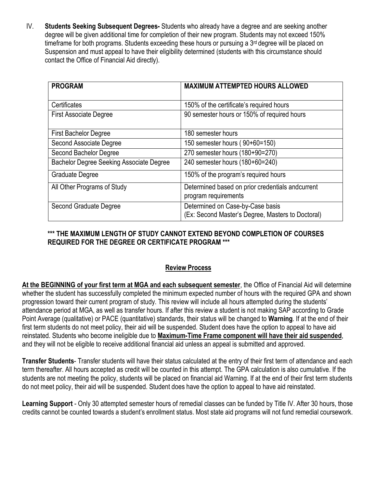IV. **Students Seeking Subsequent Degrees-** Students who already have a degree and are seeking another degree will be given additional time for completion of their new program. Students may not exceed 150% timeframe for both programs. Students exceeding these hours or pursuing a  $3<sup>rd</sup>$  degree will be placed on Suspension and must appeal to have their eligibility determined (students with this circumstance should contact the Office of Financial Aid directly).

| <b>PROGRAM</b>                           | <b>MAXIMUM ATTEMPTED HOURS ALLOWED</b>                                                |
|------------------------------------------|---------------------------------------------------------------------------------------|
| Certificates                             | 150% of the certificate's required hours                                              |
| <b>First Associate Degree</b>            | 90 semester hours or 150% of required hours                                           |
| <b>First Bachelor Degree</b>             | 180 semester hours                                                                    |
| Second Associate Degree                  | 150 semester hours (90+60=150)                                                        |
| Second Bachelor Degree                   | 270 semester hours (180+90=270)                                                       |
| Bachelor Degree Seeking Associate Degree | 240 semester hours (180+60=240)                                                       |
| Graduate Degree                          | 150% of the program's required hours                                                  |
| All Other Programs of Study              | Determined based on prior credentials andcurrent<br>program requirements              |
| Second Graduate Degree                   | Determined on Case-by-Case basis<br>(Ex: Second Master's Degree, Masters to Doctoral) |

## **\*\*\* THE MAXIMUM LENGTH OF STUDY CANNOT EXTEND BEYOND COMPLETION OF COURSES REQUIRED FOR THE DEGREE OR CERTIFICATE PROGRAM \*\*\***

# **Review Process**

**At the BEGINNING of your first term at MGA and each subsequent semester**, the Office of Financial Aid will determine whether the student has successfully completed the minimum expected number of hours with the required GPA and shown progression toward their current program of study. This review will include all hours attempted during the students' attendance period at MGA, as well as transfer hours. If after this review a student is not making SAP according to Grade Point Average (qualitative) or PACE (quantitative) standards, their status will be changed to **Warning**. If at the end of their first term students do not meet policy, their aid will be suspended. Student does have the option to appeal to have aid reinstated. Students who become ineligible due to **Maximum-Time Frame component will have their aid suspended**, and they will not be eligible to receive additional financial aid unless an appeal is submitted and approved.

**Transfer Students**- Transfer students will have their status calculated at the entry of their first term of attendance and each term thereafter. All hours accepted as credit will be counted in this attempt. The GPA calculation is also cumulative. If the students are not meeting the policy, students will be placed on financial aid Warning. If at the end of their first term students do not meet policy, their aid will be suspended. Student does have the option to appeal to have aid reinstated.

**Learning Support** - Only 30 attempted semester hours of remedial classes can be funded by Title IV. After 30 hours, those credits cannot be counted towards a student's enrollment status. Most state aid programs will not fund remedial coursework.